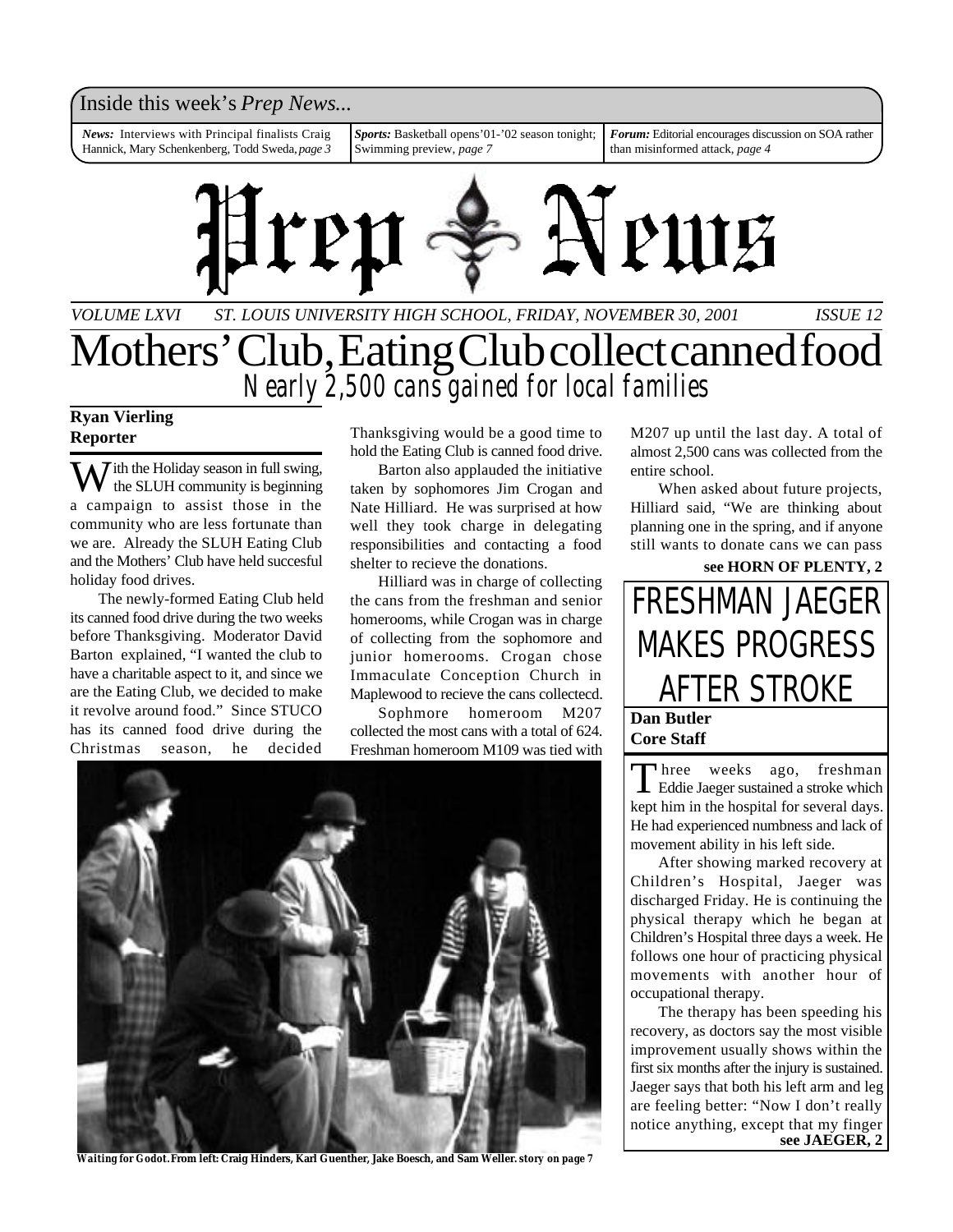### Inside this week's *Prep News*...

*News:* Interviews with Principal finalists Craig Hannick, Mary Schenkenberg, Todd Sweda, *page 3* *Sports:* Basketball opens'01-'02 season tonight; Swimming preview, *page 7*

*Forum:* Editorial encourages discussion on SOA rather than misinformed attack, *page 4*



*VOLUME LXVI ST. LOUIS UNIVERSITY HIGH SCHOOL, FRIDAY, NOVEMBER 30, 2001 ISSUE 12*

## Mothers' Club, Eating Club collect canned food *Nearly 2,500 cans gained for local families*

#### **Ryan Vierling Reporter**

 $\sum$  ith the Holiday season in full swing, the SLUH community is beginning a campaign to assist those in the community who are less fortunate than we are. Already the SLUH Eating Club and the Mothers' Club have held succesful holiday food drives.

The newly-formed Eating Club held its canned food drive during the two weeks before Thanksgiving. Moderator David Barton explained, "I wanted the club to have a charitable aspect to it, and since we are the Eating Club, we decided to make it revolve around food." Since STUCO has its canned food drive during the Christmas season, he decided

Thanksgiving would be a good time to hold the Eating Club is canned food drive.

Barton also applauded the initiative taken by sophomores Jim Crogan and Nate Hilliard. He was surprised at how well they took charge in delegating responsibilities and contacting a food shelter to recieve the donations.

Hilliard was in charge of collecting the cans from the freshman and senior homerooms, while Crogan was in charge of collecting from the sophomore and junior homerooms. Crogan chose Immaculate Conception Church in Maplewood to recieve the cans collectecd.

Sophmore homeroom M207 collected the most cans with a total of 624. Freshman homeroom M109 was tied with



*Waiting for Godot.* **From left: Craig Hinders, Karl Guenther, Jake Boesch, and Sam Weller.** *story on page 7*

M207 up until the last day. A total of almost 2,500 cans was collected from the entire school.

When asked about future projects, Hilliard said, "We are thinking about planning one in the spring, and if anyone still wants to donate cans we can pass

#### **see HORN OF PLENTY, 2**



Three weeks ago, freshman<br>Eddie Jaeger sustained a stroke which Three weeks ago, freshman kept him in the hospital for several days. He had experienced numbness and lack of movement ability in his left side.

After showing marked recovery at Children's Hospital, Jaeger was discharged Friday. He is continuing the physical therapy which he began at Children's Hospital three days a week. He follows one hour of practicing physical movements with another hour of occupational therapy.

The therapy has been speeding his recovery, as doctors say the most visible improvement usually shows within the first six months after the injury is sustained. Jaeger says that both his left arm and leg are feeling better: "Now I don't really notice anything, except that my finger **see JAEGER, 2**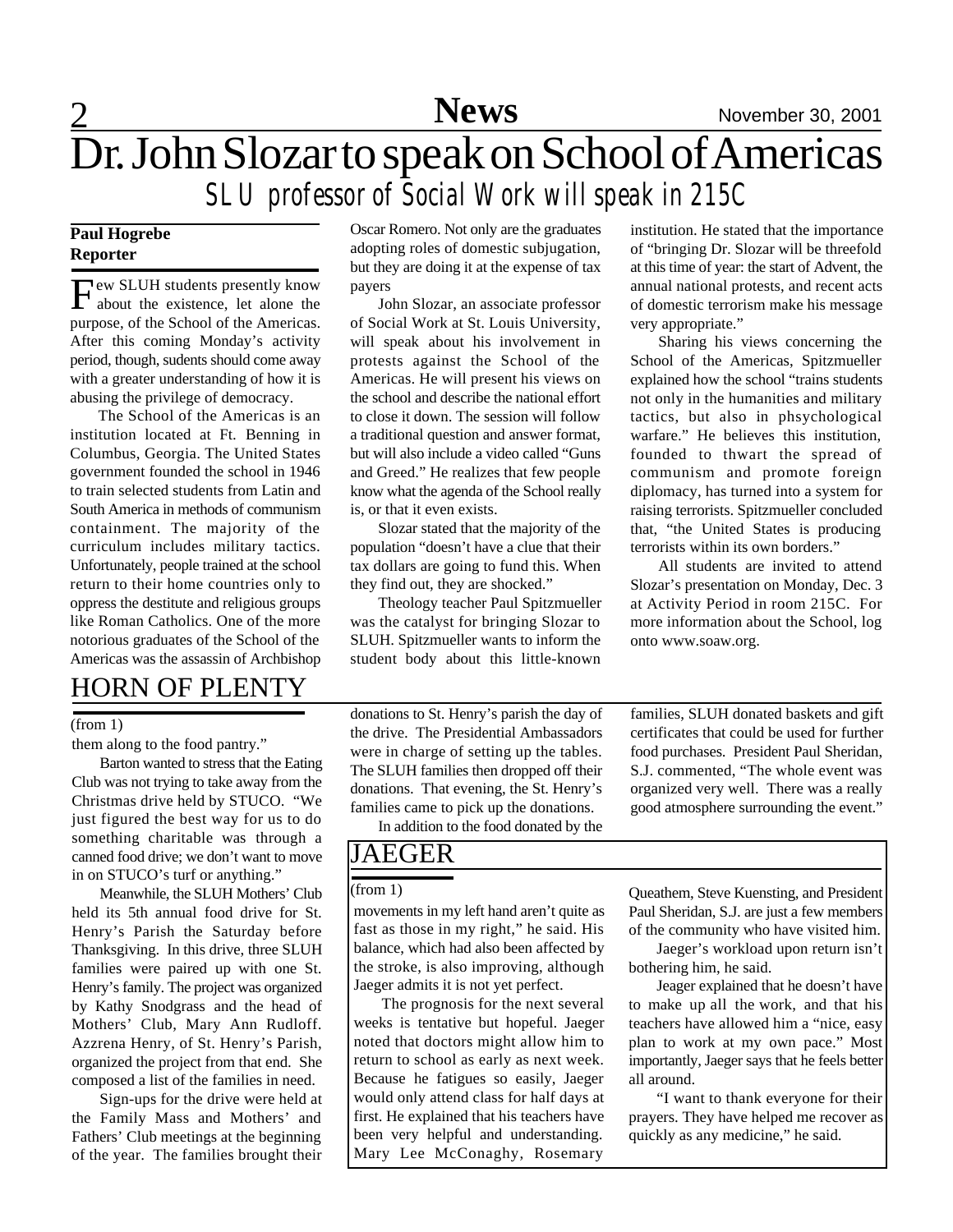## 2 **Sports News** November 30, 2001 Dr. John Slozar to speak on School of Americas *SLU professor of Social Work will speak in 215C*

#### **Paul Hogrebe Reporter**

Few SLUH students presently know<br>about the existence, let alone the about the existence, let alone the purpose, of the School of the Americas. After this coming Monday's activity period, though, sudents should come away with a greater understanding of how it is abusing the privilege of democracy.

The School of the Americas is an institution located at Ft. Benning in Columbus, Georgia. The United States government founded the school in 1946 to train selected students from Latin and South America in methods of communism containment. The majority of the curriculum includes military tactics. Unfortunately, people trained at the school return to their home countries only to oppress the destitute and religious groups like Roman Catholics. One of the more notorious graduates of the School of the Americas was the assassin of Archbishop

### HORN OF PLENTY

#### (from 1)

them along to the food pantry."

Barton wanted to stress that the Eating Club was not trying to take away from the Christmas drive held by STUCO. "We just figured the best way for us to do something charitable was through a canned food drive; we don't want to move in on STUCO's turf or anything."

Meanwhile, the SLUH Mothers' Club held its 5th annual food drive for St. Henry's Parish the Saturday before Thanksgiving. In this drive, three SLUH families were paired up with one St. Henry's family. The project was organized by Kathy Snodgrass and the head of Mothers' Club, Mary Ann Rudloff. Azzrena Henry, of St. Henry's Parish, organized the project from that end. She composed a list of the families in need.

Sign-ups for the drive were held at the Family Mass and Mothers' and Fathers' Club meetings at the beginning of the year. The families brought their Oscar Romero. Not only are the graduates adopting roles of domestic subjugation, but they are doing it at the expense of tax payers

John Slozar, an associate professor of Social Work at St. Louis University, will speak about his involvement in protests against the School of the Americas. He will present his views on the school and describe the national effort to close it down. The session will follow a traditional question and answer format, but will also include a video called "Guns and Greed." He realizes that few people know what the agenda of the School really is, or that it even exists.

Slozar stated that the majority of the population "doesn't have a clue that their tax dollars are going to fund this. When they find out, they are shocked."

Theology teacher Paul Spitzmueller was the catalyst for bringing Slozar to SLUH. Spitzmueller wants to inform the student body about this little-known

institution. He stated that the importance of "bringing Dr. Slozar will be threefold at this time of year: the start of Advent, the annual national protests, and recent acts of domestic terrorism make his message very appropriate."

Sharing his views concerning the School of the Americas, Spitzmueller explained how the school "trains students not only in the humanities and military tactics, but also in phsychological warfare." He believes this institution, founded to thwart the spread of communism and promote foreign diplomacy, has turned into a system for raising terrorists. Spitzmueller concluded that, "the United States is producing terrorists within its own borders."

All students are invited to attend Slozar's presentation on Monday, Dec. 3 at Activity Period in room 215C. For more information about the School, log onto www.soaw.org.

donations to St. Henry's parish the day of the drive. The Presidential Ambassadors were in charge of setting up the tables. The SLUH families then dropped off their donations. That evening, the St. Henry's families came to pick up the donations.

In addition to the food donated by the

families, SLUH donated baskets and gift certificates that could be used for further food purchases. President Paul Sheridan, S.J. commented, "The whole event was organized very well. There was a really good atmosphere surrounding the event."

### JAEGER

#### (from 1)

movements in my left hand aren't quite as fast as those in my right," he said. His balance, which had also been affected by the stroke, is also improving, although Jaeger admits it is not yet perfect.

The prognosis for the next several weeks is tentative but hopeful. Jaeger noted that doctors might allow him to return to school as early as next week. Because he fatigues so easily, Jaeger would only attend class for half days at first. He explained that his teachers have been very helpful and understanding. Mary Lee McConaghy, Rosemary

Queathem, Steve Kuensting, and President Paul Sheridan, S.J. are just a few members of the community who have visited him.

Jaeger's workload upon return isn't bothering him, he said.

Jeager explained that he doesn't have to make up all the work, and that his teachers have allowed him a "nice, easy plan to work at my own pace." Most importantly, Jaeger says that he feels better all around.

"I want to thank everyone for their prayers. They have helped me recover as quickly as any medicine," he said.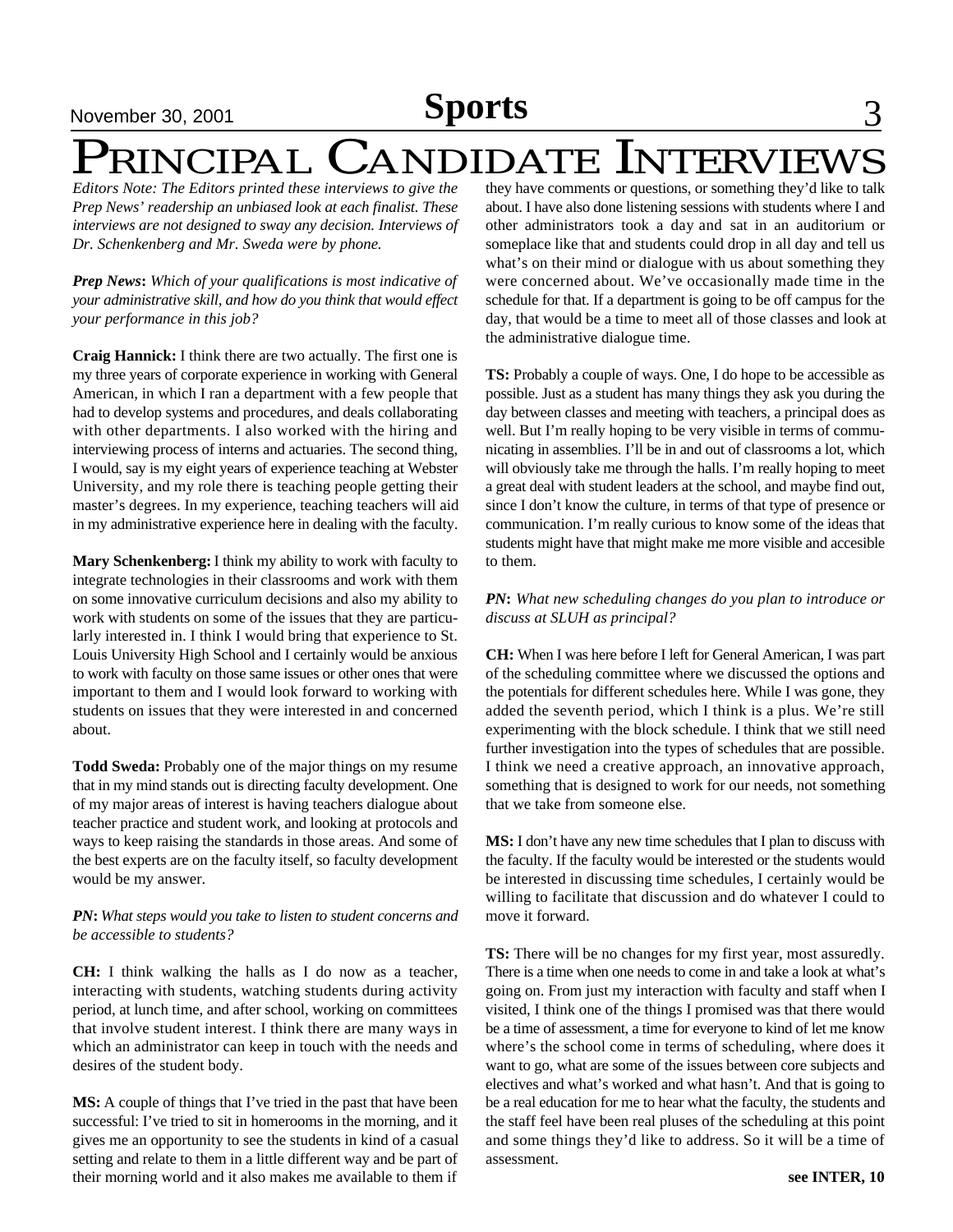# RINCIPAL CANDIDATE INTERVIEWS

*Editors Note: The Editors printed these interviews to give the Prep News' readership an unbiased look at each finalist. These interviews are not designed to sway any decision. Interviews of Dr. Schenkenberg and Mr. Sweda were by phone.*

*Prep News***:** *Which of your qualifications is most indicative of your administrative skill, and how do you think that would effect your performance in this job?*

**Craig Hannick:** I think there are two actually. The first one is my three years of corporate experience in working with General American, in which I ran a department with a few people that had to develop systems and procedures, and deals collaborating with other departments. I also worked with the hiring and interviewing process of interns and actuaries. The second thing, I would, say is my eight years of experience teaching at Webster University, and my role there is teaching people getting their master's degrees. In my experience, teaching teachers will aid in my administrative experience here in dealing with the faculty.

**Mary Schenkenberg:** I think my ability to work with faculty to integrate technologies in their classrooms and work with them on some innovative curriculum decisions and also my ability to work with students on some of the issues that they are particularly interested in. I think I would bring that experience to St. Louis University High School and I certainly would be anxious to work with faculty on those same issues or other ones that were important to them and I would look forward to working with students on issues that they were interested in and concerned about.

**Todd Sweda:** Probably one of the major things on my resume that in my mind stands out is directing faculty development. One of my major areas of interest is having teachers dialogue about teacher practice and student work, and looking at protocols and ways to keep raising the standards in those areas. And some of the best experts are on the faculty itself, so faculty development would be my answer.

#### *PN***:** *What steps would you take to listen to student concerns and be accessible to students?*

**CH:** I think walking the halls as I do now as a teacher, interacting with students, watching students during activity period, at lunch time, and after school, working on committees that involve student interest. I think there are many ways in which an administrator can keep in touch with the needs and desires of the student body.

**MS:** A couple of things that I've tried in the past that have been successful: I've tried to sit in homerooms in the morning, and it gives me an opportunity to see the students in kind of a casual setting and relate to them in a little different way and be part of their morning world and it also makes me available to them if

they have comments or questions, or something they'd like to talk about. I have also done listening sessions with students where I and other administrators took a day and sat in an auditorium or someplace like that and students could drop in all day and tell us what's on their mind or dialogue with us about something they were concerned about. We've occasionally made time in the schedule for that. If a department is going to be off campus for the day, that would be a time to meet all of those classes and look at the administrative dialogue time.

**TS:** Probably a couple of ways. One, I do hope to be accessible as possible. Just as a student has many things they ask you during the day between classes and meeting with teachers, a principal does as well. But I'm really hoping to be very visible in terms of communicating in assemblies. I'll be in and out of classrooms a lot, which will obviously take me through the halls. I'm really hoping to meet a great deal with student leaders at the school, and maybe find out, since I don't know the culture, in terms of that type of presence or communication. I'm really curious to know some of the ideas that students might have that might make me more visible and accesible to them.

#### *PN***:** *What new scheduling changes do you plan to introduce or discuss at SLUH as principal?*

**CH:** When I was here before I left for General American, I was part of the scheduling committee where we discussed the options and the potentials for different schedules here. While I was gone, they added the seventh period, which I think is a plus. We're still experimenting with the block schedule. I think that we still need further investigation into the types of schedules that are possible. I think we need a creative approach, an innovative approach, something that is designed to work for our needs, not something that we take from someone else.

**MS:** I don't have any new time schedules that I plan to discuss with the faculty. If the faculty would be interested or the students would be interested in discussing time schedules, I certainly would be willing to facilitate that discussion and do whatever I could to move it forward.

**TS:** There will be no changes for my first year, most assuredly. There is a time when one needs to come in and take a look at what's going on. From just my interaction with faculty and staff when I visited, I think one of the things I promised was that there would be a time of assessment, a time for everyone to kind of let me know where's the school come in terms of scheduling, where does it want to go, what are some of the issues between core subjects and electives and what's worked and what hasn't. And that is going to be a real education for me to hear what the faculty, the students and the staff feel have been real pluses of the scheduling at this point and some things they'd like to address. So it will be a time of assessment.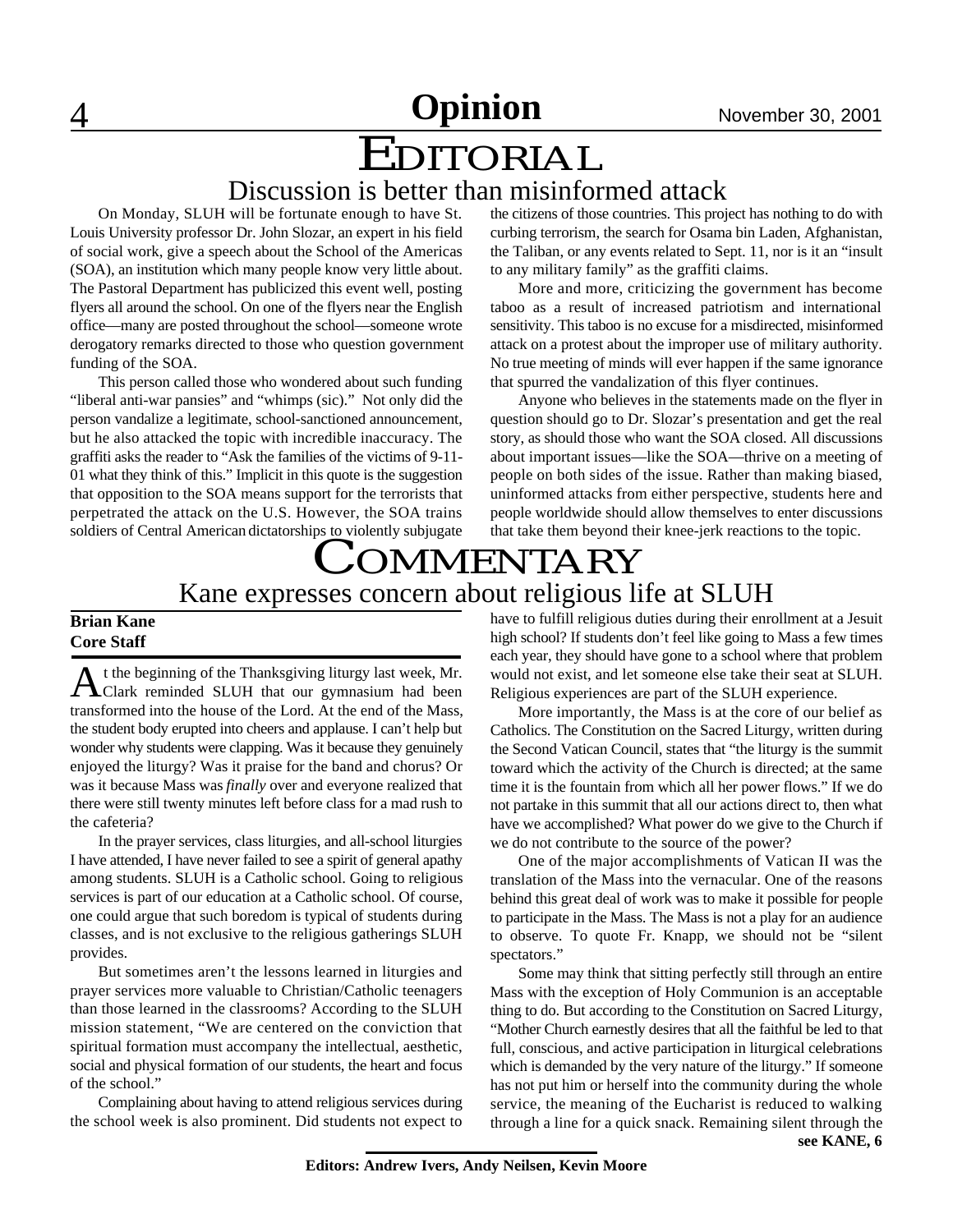## **Opinion** November 30, 2001

EDITORIAL Discussion is better than misinformed attack

On Monday, SLUH will be fortunate enough to have St. Louis University professor Dr. John Slozar, an expert in his field of social work, give a speech about the School of the Americas (SOA), an institution which many people know very little about. The Pastoral Department has publicized this event well, posting flyers all around the school. On one of the flyers near the English office—many are posted throughout the school—someone wrote derogatory remarks directed to those who question government

funding of the SOA. This person called those who wondered about such funding "liberal anti-war pansies" and "whimps (sic)." Not only did the person vandalize a legitimate, school-sanctioned announcement, but he also attacked the topic with incredible inaccuracy. The graffiti asks the reader to "Ask the families of the victims of 9-11- 01 what they think of this." Implicit in this quote is the suggestion that opposition to the SOA means support for the terrorists that perpetrated the attack on the U.S. However, the SOA trains soldiers of Central American dictatorships to violently subjugate the citizens of those countries. This project has nothing to do with curbing terrorism, the search for Osama bin Laden, Afghanistan, the Taliban, or any events related to Sept. 11, nor is it an "insult to any military family" as the graffiti claims.

More and more, criticizing the government has become taboo as a result of increased patriotism and international sensitivity. This taboo is no excuse for a misdirected, misinformed attack on a protest about the improper use of military authority. No true meeting of minds will ever happen if the same ignorance that spurred the vandalization of this flyer continues.

Anyone who believes in the statements made on the flyer in question should go to Dr. Slozar's presentation and get the real story, as should those who want the SOA closed. All discussions about important issues—like the SOA—thrive on a meeting of people on both sides of the issue. Rather than making biased, uninformed attacks from either perspective, students here and people worldwide should allow themselves to enter discussions that take them beyond their knee-jerk reactions to the topic.

## **COMMENTARY** Kane expresses concern about religious life at SLUH

#### **Brian Kane Core Staff**

A t the beginning of the Thanksgiving liturgy last week, Mr.<br>Clark reminded SLUH that our gymnasium had been t the beginning of the Thanksgiving liturgy last week, Mr. transformed into the house of the Lord. At the end of the Mass, the student body erupted into cheers and applause. I can't help but wonder why students were clapping. Was it because they genuinely enjoyed the liturgy? Was it praise for the band and chorus? Or was it because Mass was *finally* over and everyone realized that there were still twenty minutes left before class for a mad rush to the cafeteria?

In the prayer services, class liturgies, and all-school liturgies I have attended, I have never failed to see a spirit of general apathy among students. SLUH is a Catholic school. Going to religious services is part of our education at a Catholic school. Of course, one could argue that such boredom is typical of students during classes, and is not exclusive to the religious gatherings SLUH provides.

But sometimes aren't the lessons learned in liturgies and prayer services more valuable to Christian/Catholic teenagers than those learned in the classrooms? According to the SLUH mission statement, "We are centered on the conviction that spiritual formation must accompany the intellectual, aesthetic, social and physical formation of our students, the heart and focus of the school."

Complaining about having to attend religious services during the school week is also prominent. Did students not expect to

have to fulfill religious duties during their enrollment at a Jesuit high school? If students don't feel like going to Mass a few times each year, they should have gone to a school where that problem would not exist, and let someone else take their seat at SLUH. Religious experiences are part of the SLUH experience.

More importantly, the Mass is at the core of our belief as Catholics. The Constitution on the Sacred Liturgy, written during the Second Vatican Council, states that "the liturgy is the summit toward which the activity of the Church is directed; at the same time it is the fountain from which all her power flows." If we do not partake in this summit that all our actions direct to, then what have we accomplished? What power do we give to the Church if we do not contribute to the source of the power?

One of the major accomplishments of Vatican II was the translation of the Mass into the vernacular. One of the reasons behind this great deal of work was to make it possible for people to participate in the Mass. The Mass is not a play for an audience to observe. To quote Fr. Knapp, we should not be "silent spectators."

Some may think that sitting perfectly still through an entire Mass with the exception of Holy Communion is an acceptable thing to do. But according to the Constitution on Sacred Liturgy, "Mother Church earnestly desires that all the faithful be led to that full, conscious, and active participation in liturgical celebrations which is demanded by the very nature of the liturgy." If someone has not put him or herself into the community during the whole service, the meaning of the Eucharist is reduced to walking through a line for a quick snack. Remaining silent through the **see KANE, 6**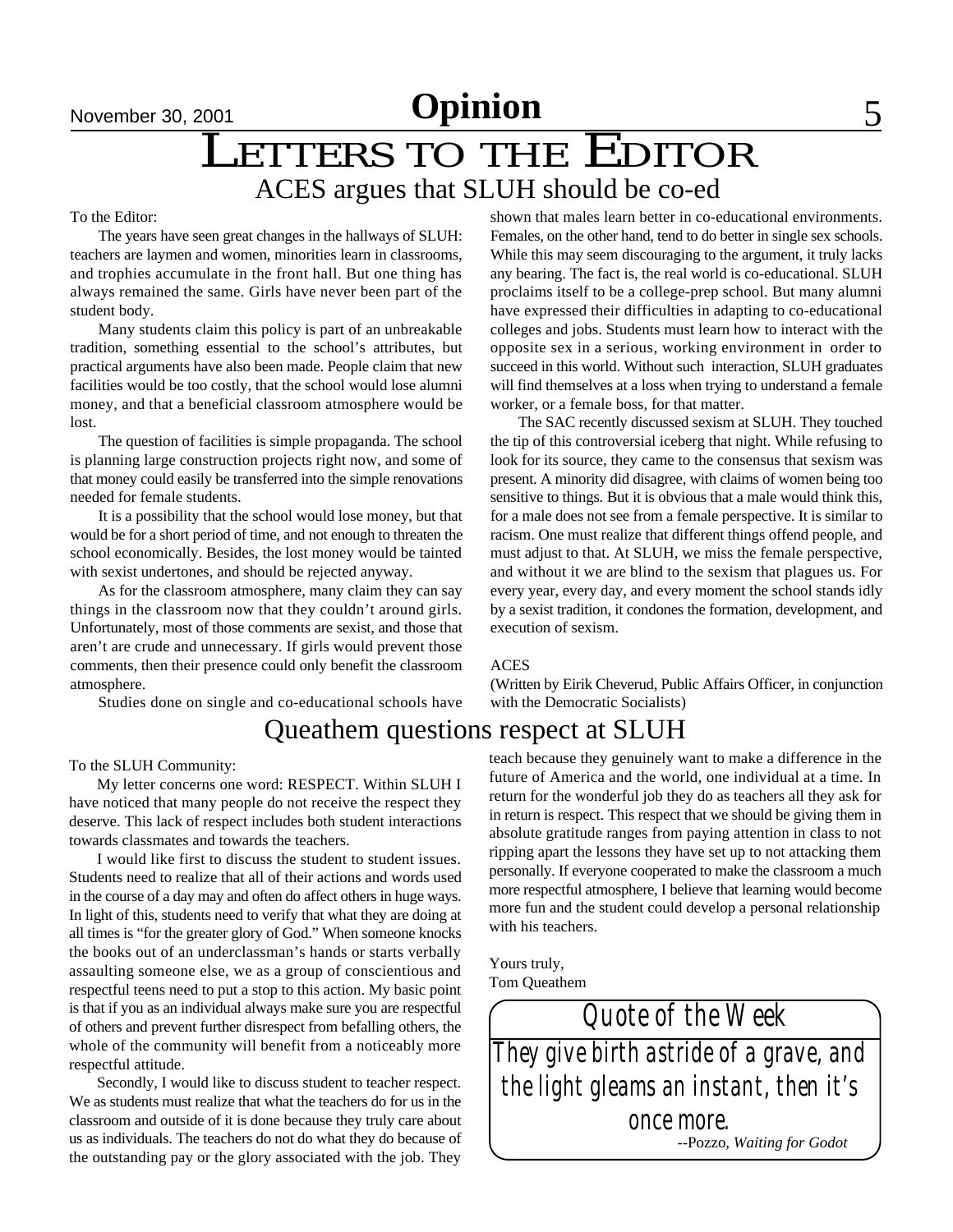# November 30, 2001<br>
LETTERS TO THE EDITOR ACES argues that SLUH should be co-ed

#### To the Editor:

The years have seen great changes in the hallways of SLUH: teachers are laymen and women, minorities learn in classrooms, and trophies accumulate in the front hall. But one thing has always remained the same. Girls have never been part of the student body.

Many students claim this policy is part of an unbreakable tradition, something essential to the school's attributes, but practical arguments have also been made. People claim that new facilities would be too costly, that the school would lose alumni money, and that a beneficial classroom atmosphere would be lost.

The question of facilities is simple propaganda. The school is planning large construction projects right now, and some of that money could easily be transferred into the simple renovations needed for female students.

It is a possibility that the school would lose money, but that would be for a short period of time, and not enough to threaten the school economically. Besides, the lost money would be tainted with sexist undertones, and should be rejected anyway.

As for the classroom atmosphere, many claim they can say things in the classroom now that they couldn't around girls. Unfortunately, most of those comments are sexist, and those that aren't are crude and unnecessary. If girls would prevent those comments, then their presence could only benefit the classroom atmosphere.

Studies done on single and co-educational schools have

shown that males learn better in co-educational environments. Females, on the other hand, tend to do better in single sex schools. While this may seem discouraging to the argument, it truly lacks any bearing. The fact is, the real world is co-educational. SLUH proclaims itself to be a college-prep school. But many alumni have expressed their difficulties in adapting to co-educational colleges and jobs. Students must learn how to interact with the opposite sex in a serious, working environment in order to succeed in this world. Without such interaction, SLUH graduates will find themselves at a loss when trying to understand a female worker, or a female boss, for that matter.

The SAC recently discussed sexism at SLUH. They touched the tip of this controversial iceberg that night. While refusing to look for its source, they came to the consensus that sexism was present. A minority did disagree, with claims of women being too sensitive to things. But it is obvious that a male would think this, for a male does not see from a female perspective. It is similar to racism. One must realize that different things offend people, and must adjust to that. At SLUH, we miss the female perspective, and without it we are blind to the sexism that plagues us. For every year, every day, and every moment the school stands idly by a sexist tradition, it condones the formation, development, and execution of sexism.

#### ACES

(Written by Eirik Cheverud, Public Affairs Officer, in conjunction with the Democratic Socialists)

## Queathem questions respect at SLUH

#### To the SLUH Community:

My letter concerns one word: RESPECT. Within SLUH I have noticed that many people do not receive the respect they deserve. This lack of respect includes both student interactions towards classmates and towards the teachers.

I would like first to discuss the student to student issues. Students need to realize that all of their actions and words used in the course of a day may and often do affect others in huge ways. In light of this, students need to verify that what they are doing at all times is "for the greater glory of God." When someone knocks the books out of an underclassman's hands or starts verbally assaulting someone else, we as a group of conscientious and respectful teens need to put a stop to this action. My basic point is that if you as an individual always make sure you are respectful of others and prevent further disrespect from befalling others, the whole of the community will benefit from a noticeably more respectful attitude.

Secondly, I would like to discuss student to teacher respect. We as students must realize that what the teachers do for us in the classroom and outside of it is done because they truly care about us as individuals. The teachers do not do what they do because of the outstanding pay or the glory associated with the job. They teach because they genuinely want to make a difference in the future of America and the world, one individual at a time. In return for the wonderful job they do as teachers all they ask for in return is respect. This respect that we should be giving them in absolute gratitude ranges from paying attention in class to not ripping apart the lessons they have set up to not attacking them personally. If everyone cooperated to make the classroom a much more respectful atmosphere, I believe that learning would become more fun and the student could develop a personal relationship with his teachers.

Yours truly, Tom Queathem

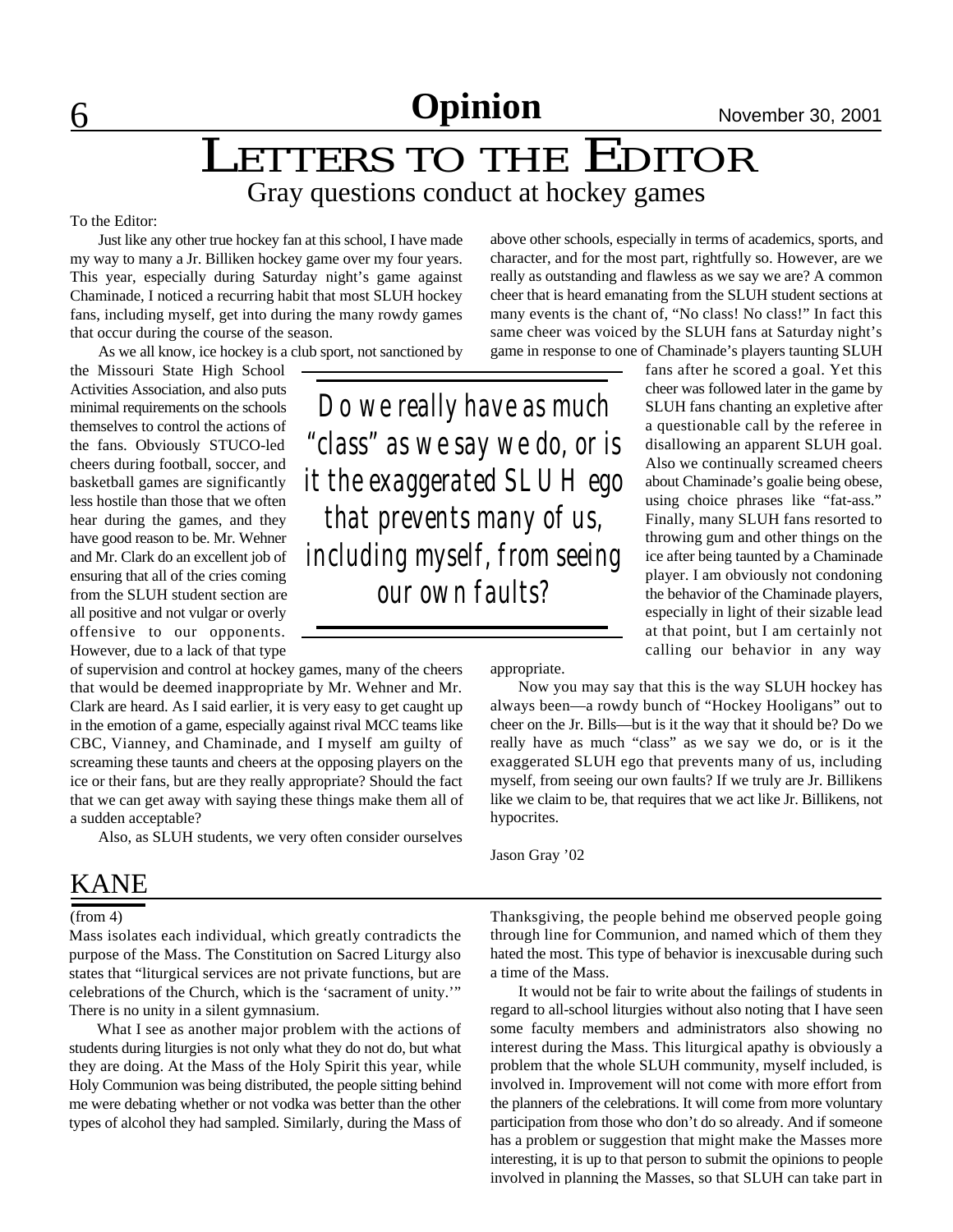**6 Opinion** November 30, 2001

## LETTERS TO THE EDITOR Gray questions conduct at hockey games

#### To the Editor:

Just like any other true hockey fan at this school, I have made my way to many a Jr. Billiken hockey game over my four years. This year, especially during Saturday night's game against Chaminade, I noticed a recurring habit that most SLUH hockey fans, including myself, get into during the many rowdy games that occur during the course of the season.

As we all know, ice hockey is a club sport, not sanctioned by

the Missouri State High School Activities Association, and also puts minimal requirements on the schools themselves to control the actions of the fans. Obviously STUCO-led cheers during football, soccer, and basketball games are significantly less hostile than those that we often hear during the games, and they have good reason to be. Mr. Wehner and Mr. Clark do an excellent job of ensuring that all of the cries coming from the SLUH student section are all positive and not vulgar or overly offensive to our opponents. However, due to a lack of that type

of supervision and control at hockey games, many of the cheers that would be deemed inappropriate by Mr. Wehner and Mr. Clark are heard. As I said earlier, it is very easy to get caught up in the emotion of a game, especially against rival MCC teams like CBC, Vianney, and Chaminade, and I myself am guilty of screaming these taunts and cheers at the opposing players on the ice or their fans, but are they really appropriate? Should the fact that we can get away with saying these things make them all of a sudden acceptable?

Also, as SLUH students, we very often consider ourselves

### KANE

#### (from 4)

Mass isolates each individual, which greatly contradicts the purpose of the Mass. The Constitution on Sacred Liturgy also states that "liturgical services are not private functions, but are celebrations of the Church, which is the 'sacrament of unity.'" There is no unity in a silent gymnasium.

What I see as another major problem with the actions of students during liturgies is not only what they do not do, but what they are doing. At the Mass of the Holy Spirit this year, while Holy Communion was being distributed, the people sitting behind me were debating whether or not vodka was better than the other types of alcohol they had sampled. Similarly, during the Mass of above other schools, especially in terms of academics, sports, and character, and for the most part, rightfully so. However, are we really as outstanding and flawless as we say we are? A common cheer that is heard emanating from the SLUH student sections at many events is the chant of, "No class! No class!" In fact this same cheer was voiced by the SLUH fans at Saturday night's game in response to one of Chaminade's players taunting SLUH

*Do we really have as much "class" as we say we do, or is it the exaggerated SLUH ego that prevents many of us, including myself, from seeing our own faults?*

fans after he scored a goal. Yet this cheer was followed later in the game by SLUH fans chanting an expletive after a questionable call by the referee in disallowing an apparent SLUH goal. Also we continually screamed cheers about Chaminade's goalie being obese, using choice phrases like "fat-ass." Finally, many SLUH fans resorted to throwing gum and other things on the ice after being taunted by a Chaminade player. I am obviously not condoning the behavior of the Chaminade players, especially in light of their sizable lead at that point, but I am certainly not calling our behavior in any way

appropriate.

Now you may say that this is the way SLUH hockey has always been—a rowdy bunch of "Hockey Hooligans" out to cheer on the Jr. Bills—but is it the way that it should be? Do we really have as much "class" as we say we do, or is it the exaggerated SLUH ego that prevents many of us, including myself, from seeing our own faults? If we truly are Jr. Billikens like we claim to be, that requires that we act like Jr. Billikens, not hypocrites.

Jason Gray '02

Thanksgiving, the people behind me observed people going through line for Communion, and named which of them they hated the most. This type of behavior is inexcusable during such a time of the Mass.

It would not be fair to write about the failings of students in regard to all-school liturgies without also noting that I have seen some faculty members and administrators also showing no interest during the Mass. This liturgical apathy is obviously a problem that the whole SLUH community, myself included, is involved in. Improvement will not come with more effort from the planners of the celebrations. It will come from more voluntary participation from those who don't do so already. And if someone has a problem or suggestion that might make the Masses more interesting, it is up to that person to submit the opinions to people involved in planning the Masses, so that SLUH can take part in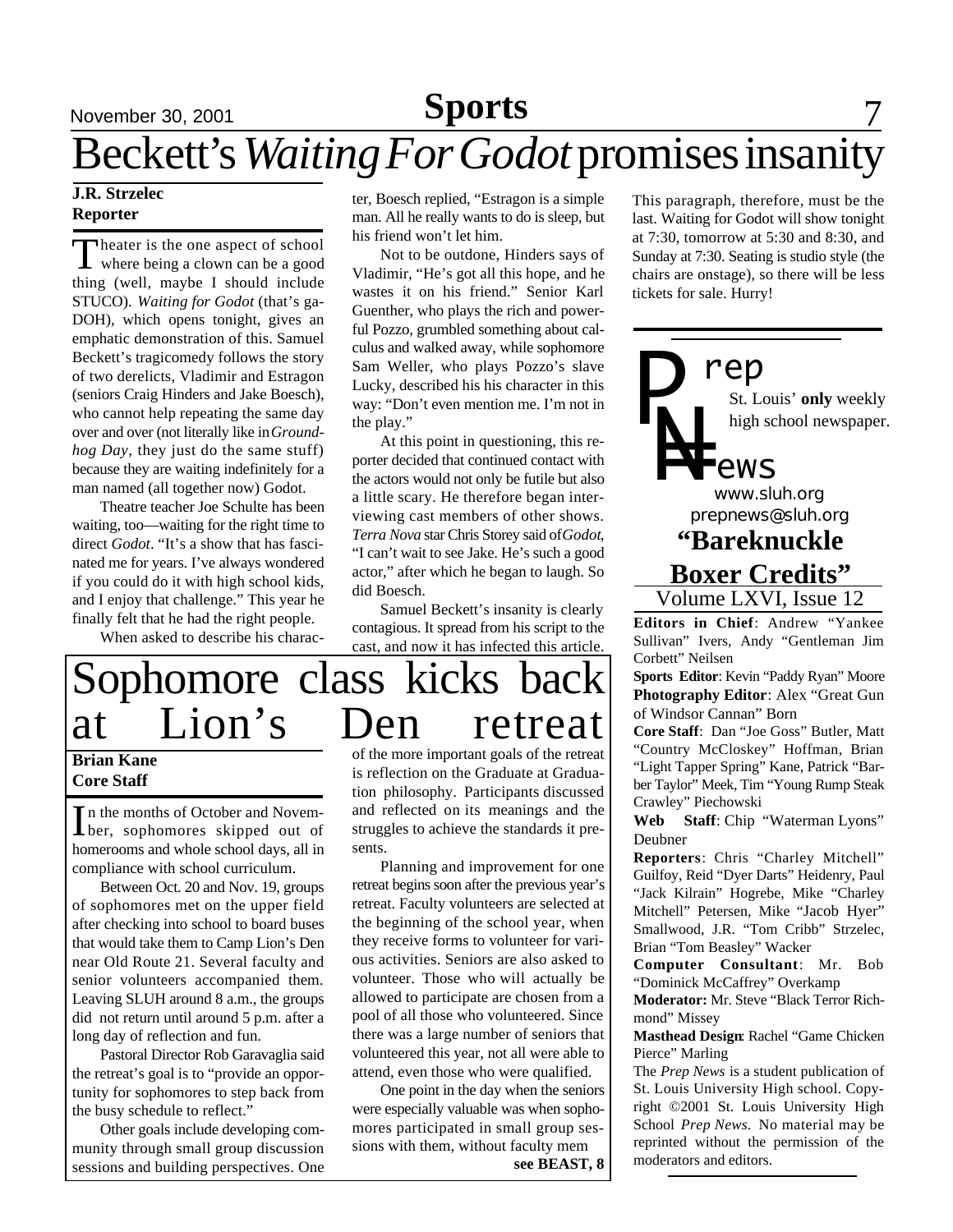## Beckett's *Waiting For Godot* promises insanity

#### **J.R. Strzelec Reporter**

Theater is the one aspect of school<br>where being a clown can be a good heater is the one aspect of school thing (well, maybe I should include STUCO). *Waiting for Godot* (that's ga-DOH), which opens tonight, gives an emphatic demonstration of this. Samuel Beckett's tragicomedy follows the story of two derelicts, Vladimir and Estragon (seniors Craig Hinders and Jake Boesch), who cannot help repeating the same day over and over (not literally like in *Groundhog Day*, they just do the same stuff) because they are waiting indefinitely for a man named (all together now) Godot.

Theatre teacher Joe Schulte has been waiting, too—waiting for the right time to direct *Godot*. "It's a show that has fascinated me for years. I've always wondered if you could do it with high school kids, and I enjoy that challenge." This year he finally felt that he had the right people.

When asked to describe his charac-

ter, Boesch replied, "Estragon is a simple man. All he really wants to do is sleep, but his friend won't let him.

Not to be outdone, Hinders says of Vladimir, "He's got all this hope, and he wastes it on his friend." Senior Karl Guenther, who plays the rich and powerful Pozzo, grumbled something about calculus and walked away, while sophomore Sam Weller, who plays Pozzo's slave Lucky, described his his character in this way: "Don't even mention me. I'm not in the play."

At this point in questioning, this reporter decided that continued contact with the actors would not only be futile but also a little scary. He therefore began interviewing cast members of other shows. *Terra Nova* star Chris Storey said of *Godot*, "I can't wait to see Jake. He's such a good actor," after which he began to laugh. So did Boesch.

Samuel Beckett's insanity is clearly contagious. It spread from his script to the cast, and now it has infected this article.

# Sophomore class kicks back at Lion's Den retreat

#### **Brian Kane Core Staff**

In the months of October and Novem-<br>
ber, sophomores skipped out of ber, sophomores skipped out of homerooms and whole school days, all in compliance with school curriculum.

Between Oct. 20 and Nov. 19, groups of sophomores met on the upper field after checking into school to board buses that would take them to Camp Lion's Den near Old Route 21. Several faculty and senior volunteers accompanied them. Leaving SLUH around 8 a.m., the groups did not return until around 5 p.m. after a long day of reflection and fun.

Pastoral Director Rob Garavaglia said the retreat's goal is to "provide an opportunity for sophomores to step back from the busy schedule to reflect."

Other goals include developing community through small group discussion sessions and building perspectives. One

of the more important goals of the retreat is reflection on the Graduate at Graduation philosophy. Participants discussed and reflected on its meanings and the struggles to achieve the standards it presents.

Planning and improvement for one retreat begins soon after the previous year's retreat. Faculty volunteers are selected at the beginning of the school year, when they receive forms to volunteer for various activities. Seniors are also asked to volunteer. Those who will actually be allowed to participate are chosen from a pool of all those who volunteered. Since there was a large number of seniors that volunteered this year, not all were able to attend, even those who were qualified.

One point in the day when the seniors were especially valuable was when sophomores participated in small group sessions with them, without faculty mem

**see BEAST, 8**

This paragraph, therefore, must be the last. Waiting for Godot will show tonight at 7:30, tomorrow at 5:30 and 8:30, and Sunday at 7:30. Seating is studio style (the chairs are onstage), so there will be less tickets for sale. Hurry!



**Editors in Chief**: Andrew "Yankee Sullivan" Ivers, Andy "Gentleman Jim Corbett" Neilsen

**Sports Editor**: Kevin "Paddy Ryan" Moore **Photography Editor**: Alex "Great Gun of Windsor Cannan" Born

**Core Staff**: Dan "Joe Goss" Butler, Matt "Country McCloskey" Hoffman, Brian "Light Tapper Spring" Kane, Patrick "Barber Taylor" Meek, Tim "Young Rump Steak Crawley" Piechowski

**Web Staff**: Chip "Waterman Lyons" Deubner

**Reporters**: Chris "Charley Mitchell" Guilfoy, Reid "Dyer Darts" Heidenry, Paul "Jack Kilrain" Hogrebe, Mike "Charley Mitchell" Petersen, Mike "Jacob Hyer" Smallwood, J.R. "Tom Cribb" Strzelec, Brian "Tom Beasley" Wacker

**Computer Consultant**: Mr. Bob "Dominick McCaffrey" Overkamp

**Moderator:** Mr. Steve "Black Terror Richmond" Missey

**Masthead Design**: Rachel "Game Chicken Pierce" Marling

The *Prep News* is a student publication of St. Louis University High school. Copyright ©2001 St. Louis University High School *Prep News.* No material may be reprinted without the permission of the moderators and editors.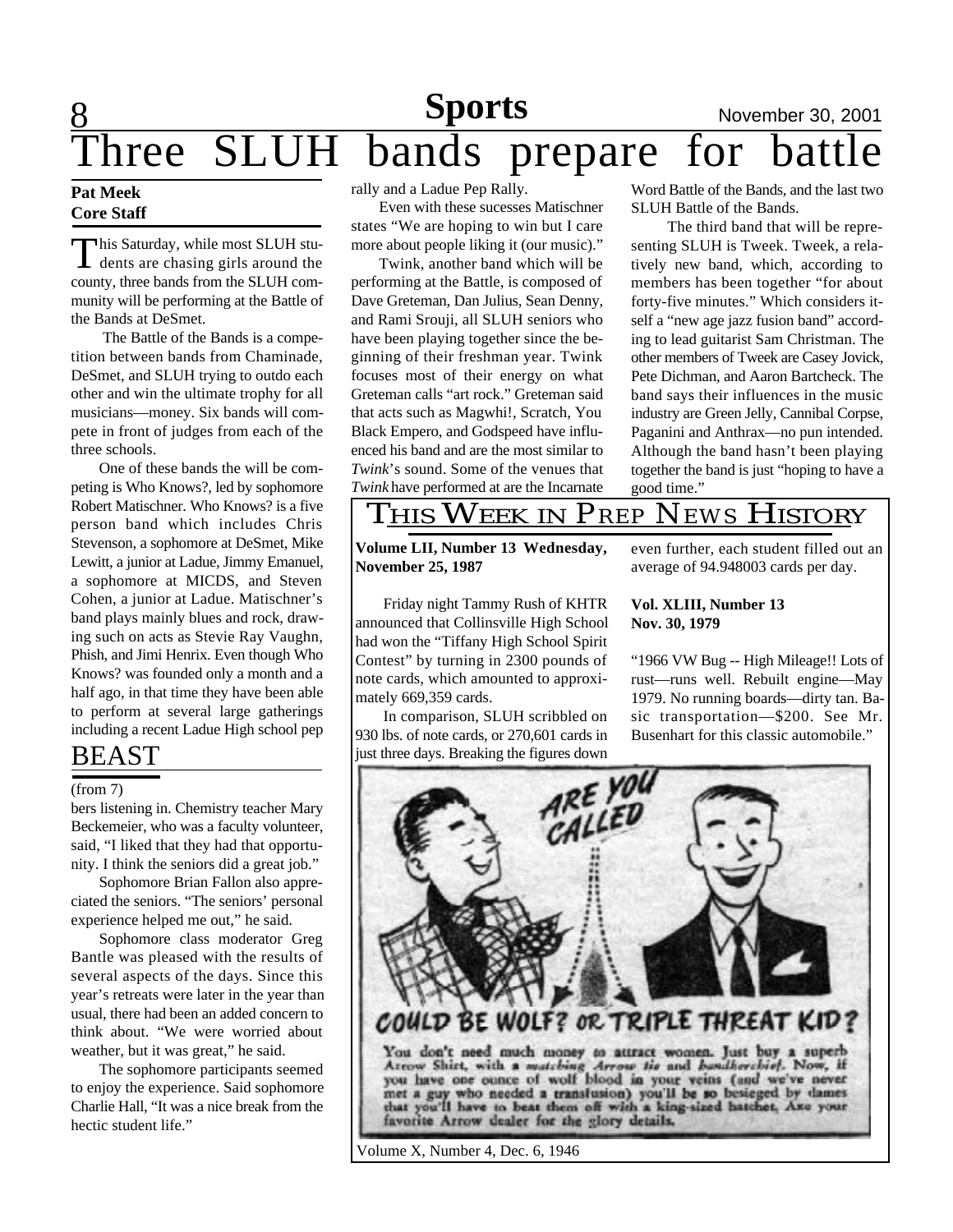# **8 Sports** November 30, 2001 hree SLUH bands prepare for battl

#### **Pat Meek Core Staff**

This Saturday, while most SLUH stu-<br>dents are chasing girls around the dents are chasing girls around the county, three bands from the SLUH community will be performing at the Battle of the Bands at DeSmet.

 The Battle of the Bands is a competition between bands from Chaminade, DeSmet, and SLUH trying to outdo each other and win the ultimate trophy for all musicians—money. Six bands will compete in front of judges from each of the three schools.

One of these bands the will be competing is Who Knows?, led by sophomore Robert Matischner. Who Knows? is a five person band which includes Chris Stevenson, a sophomore at DeSmet, Mike Lewitt, a junior at Ladue, Jimmy Emanuel, a sophomore at MICDS, and Steven Cohen, a junior at Ladue. Matischner's band plays mainly blues and rock, drawing such on acts as Stevie Ray Vaughn, Phish, and Jimi Henrix. Even though Who Knows? was founded only a month and a half ago, in that time they have been able to perform at several large gatherings including a recent Ladue High school pep

### BEAST

#### (from 7)

bers listening in. Chemistry teacher Mary Beckemeier, who was a faculty volunteer, said, "I liked that they had that opportunity. I think the seniors did a great job."

Sophomore Brian Fallon also appreciated the seniors. "The seniors' personal experience helped me out," he said.

Sophomore class moderator Greg Bantle was pleased with the results of several aspects of the days. Since this year's retreats were later in the year than usual, there had been an added concern to think about. "We were worried about weather, but it was great," he said.

The sophomore participants seemed to enjoy the experience. Said sophomore Charlie Hall, "It was a nice break from the hectic student life."

rally and a Ladue Pep Rally.

Even with these sucesses Matischner states "We are hoping to win but I care more about people liking it (our music)."

Twink, another band which will be performing at the Battle, is composed of Dave Greteman, Dan Julius, Sean Denny, and Rami Srouji, all SLUH seniors who have been playing together since the beginning of their freshman year. Twink focuses most of their energy on what Greteman calls "art rock." Greteman said that acts such as Magwhi!, Scratch, You Black Empero, and Godspeed have influenced his band and are the most similar to *Twink*'s sound. Some of the venues that *Twink* have performed at are the Incarnate

Word Battle of the Bands, and the last two SLUH Battle of the Bands.

 The third band that will be representing SLUH is Tweek. Tweek, a relatively new band, which, according to members has been together "for about forty-five minutes." Which considers itself a "new age jazz fusion band" according to lead guitarist Sam Christman. The other members of Tweek are Casey Jovick, Pete Dichman, and Aaron Bartcheck. The band says their influences in the music industry are Green Jelly, Cannibal Corpse, Paganini and Anthrax—no pun intended. Although the band hasn't been playing together the band is just "hoping to have a good time."

## THIS WEEK IN *PREP NEWS* HISTORY

#### **Volume LII, Number 13 Wednesday, November 25, 1987**

Friday night Tammy Rush of KHTR announced that Collinsville High School had won the "Tiffany High School Spirit Contest" by turning in 2300 pounds of note cards, which amounted to approximately 669,359 cards.

In comparison, SLUH scribbled on 930 lbs. of note cards, or 270,601 cards in just three days. Breaking the figures down even further, each student filled out an average of 94.948003 cards per day.

#### **Vol. XLIII, Number 13 Nov. 30, 1979**

"1966 VW Bug -- High Mileage!! Lots of rust—runs well. Rebuilt engine—May 1979. No running boards—dirty tan. Basic transportation—\$200. See Mr. Busenhart for this classic automobile."

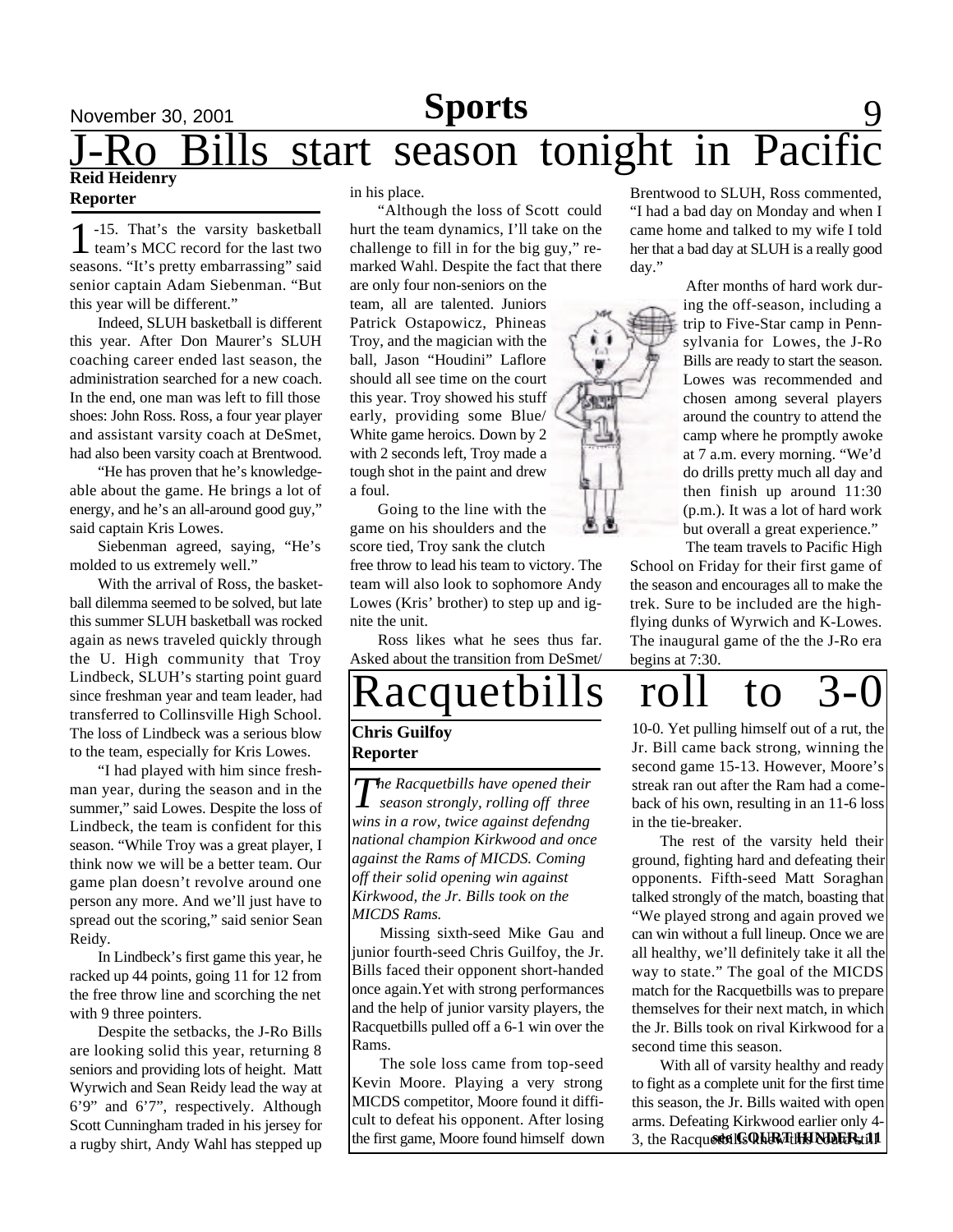## November 30, 2001 **Sports** 9 J-Ro Bills start season tonight in Pacific **Reid Heidenry**

### **Reporter**

1 -15. That's the varsity basketball team's MCC record for the last two seasons. "It's pretty embarrassing" said senior captain Adam Siebenman. "But this year will be different."

Indeed, SLUH basketball is different this year. After Don Maurer's SLUH coaching career ended last season, the administration searched for a new coach. In the end, one man was left to fill those shoes: John Ross. Ross, a four year player and assistant varsity coach at DeSmet, had also been varsity coach at Brentwood.

"He has proven that he's knowledgeable about the game. He brings a lot of energy, and he's an all-around good guy," said captain Kris Lowes.

Siebenman agreed, saying, "He's molded to us extremely well."

With the arrival of Ross, the basketball dilemma seemed to be solved, but late this summer SLUH basketball was rocked again as news traveled quickly through the U. High community that Troy Lindbeck, SLUH's starting point guard since freshman year and team leader, had transferred to Collinsville High School. The loss of Lindbeck was a serious blow to the team, especially for Kris Lowes.

"I had played with him since freshman year, during the season and in the summer," said Lowes. Despite the loss of Lindbeck, the team is confident for this season. "While Troy was a great player, I think now we will be a better team. Our game plan doesn't revolve around one person any more. And we'll just have to spread out the scoring," said senior Sean Reidy.

In Lindbeck's first game this year, he racked up 44 points, going 11 for 12 from the free throw line and scorching the net with 9 three pointers.

Despite the setbacks, the J-Ro Bills are looking solid this year, returning 8 seniors and providing lots of height. Matt Wyrwich and Sean Reidy lead the way at 6'9" and 6'7", respectively. Although Scott Cunningham traded in his jersey for a rugby shirt, Andy Wahl has stepped up

in his place.

"Although the loss of Scott could hurt the team dynamics, I'll take on the challenge to fill in for the big guy," remarked Wahl. Despite the fact that there

are only four non-seniors on the team, all are talented. Juniors Patrick Ostapowicz, Phineas Troy, and the magician with the ball, Jason "Houdini" Laflore should all see time on the court this year. Troy showed his stuff early, providing some Blue/ White game heroics. Down by 2 with 2 seconds left, Troy made a tough shot in the paint and drew a foul.

Going to the line with the game on his shoulders and the score tied, Troy sank the clutch

free throw to lead his team to victory. The team will also look to sophomore Andy Lowes (Kris' brother) to step up and ignite the unit.

Ross likes what he sees thus far. Asked about the transition from DeSmet/

## **Chris Guilfoy** Racquetbills roll to

**Reporter**

*T he Racquetbills have opened their season strongly, rolling off three wins in a row, twice against defendng national champion Kirkwood and once against the Rams of MICDS. Coming off their solid opening win against Kirkwood, the Jr. Bills took on the MICDS Rams.*

Missing sixth-seed Mike Gau and junior fourth-seed Chris Guilfoy, the Jr. Bills faced their opponent short-handed once again.Yet with strong performances and the help of junior varsity players, the Racquetbills pulled off a 6-1 win over the Rams.

The sole loss came from top-seed Kevin Moore. Playing a very strong MICDS competitor, Moore found it difficult to defeat his opponent. After losing the first game, Moore found himself down

Brentwood to SLUH, Ross commented, "I had a bad day on Monday and when I came home and talked to my wife I told her that a bad day at SLUH is a really good day."

> After months of hard work during the off-season, including a trip to Five-Star camp in Pennsylvania for Lowes, the J-Ro Bills are ready to start the season. Lowes was recommended and chosen among several players around the country to attend the camp where he promptly awoke at 7 a.m. every morning. "We'd do drills pretty much all day and then finish up around 11:30 (p.m.). It was a lot of hard work but overall a great experience."

The team travels to Pacific High School on Friday for their first game of the season and encourages all to make the trek. Sure to be included are the highflying dunks of Wyrwich and K-Lowes. The inaugural game of the the J-Ro era begins at 7:30.

10-0. Yet pulling himself out of a rut, the Jr. Bill came back strong, winning the second game 15-13. However, Moore's streak ran out after the Ram had a comeback of his own, resulting in an 11-6 loss in the tie-breaker.

The rest of the varsity held their ground, fighting hard and defeating their opponents. Fifth-seed Matt Soraghan talked strongly of the match, boasting that "We played strong and again proved we can win without a full lineup. Once we are all healthy, we'll definitely take it all the way to state." The goal of the MICDS match for the Racquetbills was to prepare themselves for their next match, in which the Jr. Bills took on rival Kirkwood for a second time this season.

With all of varsity healthy and ready to fight as a complete unit for the first time this season, the Jr. Bills waited with open arms. Defeating Kirkwood earlier only 4- 3, the Racqu**@@1GQhBATtHJNDER,til1** 

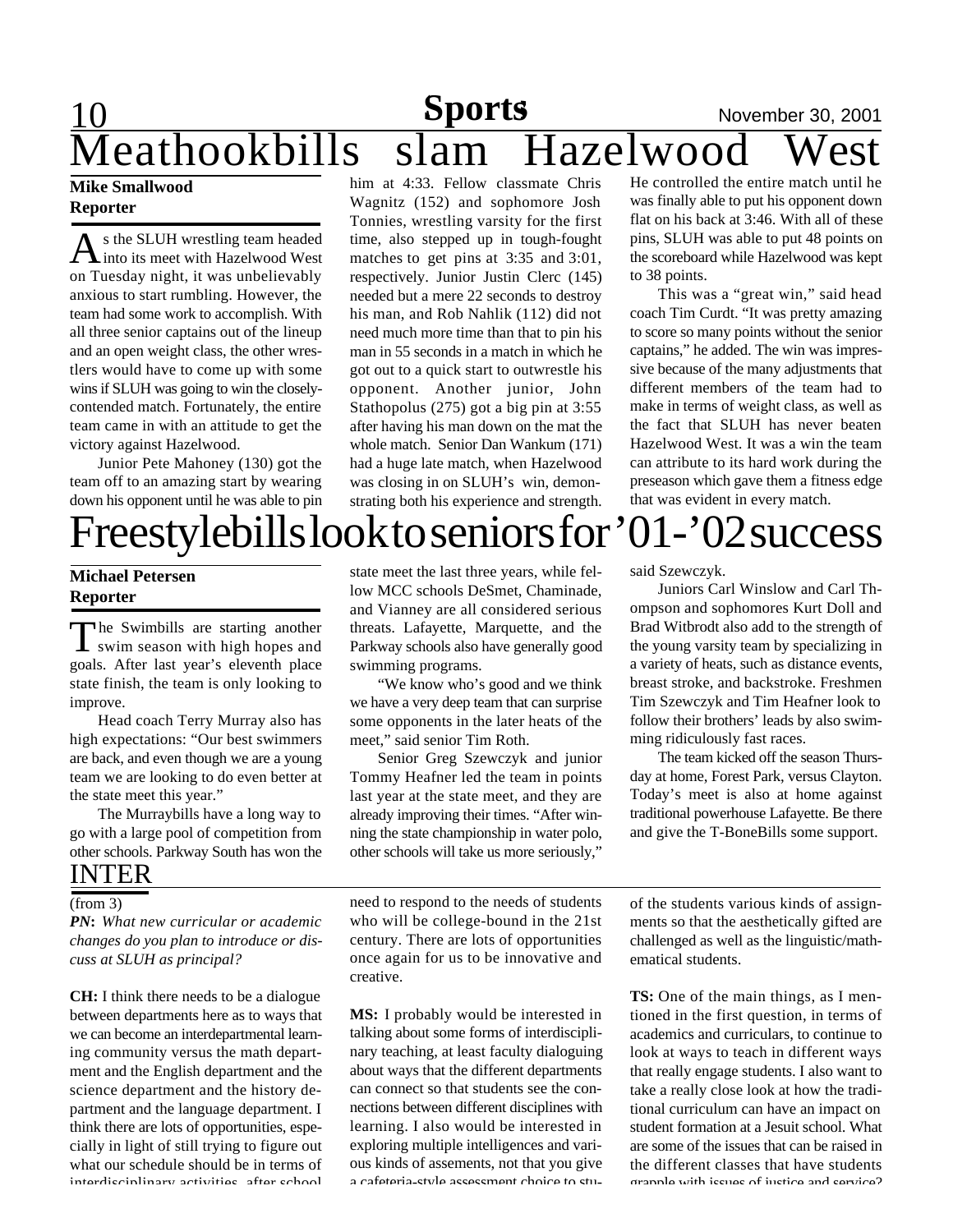## **Sports** November 30, 2001 eathookbills slam Hazelwood

#### **Mike Smallwood Reporter**

As the SLUH wrestling team headed<br>into its meet with Hazelwood West s the SLUH wrestling team headed on Tuesday night, it was unbelievably anxious to start rumbling. However, the team had some work to accomplish. With all three senior captains out of the lineup and an open weight class, the other wrestlers would have to come up with some wins if SLUH was going to win the closelycontended match. Fortunately, the entire team came in with an attitude to get the victory against Hazelwood.

Junior Pete Mahoney (130) got the team off to an amazing start by wearing down his opponent until he was able to pin him at 4:33. Fellow classmate Chris Wagnitz (152) and sophomore Josh Tonnies, wrestling varsity for the first time, also stepped up in tough-fought matches to get pins at 3:35 and 3:01, respectively. Junior Justin Clerc (145) needed but a mere 22 seconds to destroy his man, and Rob Nahlik (112) did not need much more time than that to pin his man in 55 seconds in a match in which he got out to a quick start to outwrestle his opponent. Another junior, John Stathopolus (275) got a big pin at 3:55 after having his man down on the mat the whole match. Senior Dan Wankum (171) had a huge late match, when Hazelwood was closing in on SLUH's win, demonstrating both his experience and strength.

He controlled the entire match until he was finally able to put his opponent down flat on his back at 3:46. With all of these pins, SLUH was able to put 48 points on the scoreboard while Hazelwood was kept to 38 points.

This was a "great win," said head coach Tim Curdt. "It was pretty amazing to score so many points without the senior captains," he added. The win was impressive because of the many adjustments that different members of the team had to make in terms of weight class, as well as the fact that SLUH has never beaten Hazelwood West. It was a win the team can attribute to its hard work during the preseason which gave them a fitness edge that was evident in every match.

# Freestylebills look to seniors for '01-'02 success

#### **Michael Petersen Reporter**

The Swimbills are starting another<br>swim season with high hopes and he Swimbills are starting another goals. After last year's eleventh place state finish, the team is only looking to improve.

Head coach Terry Murray also has high expectations: "Our best swimmers are back, and even though we are a young team we are looking to do even better at the state meet this year."

The Murraybills have a long way to go with a large pool of competition from other schools. Parkway South has won the

## INTER

(from 3)

*PN***:** *What new curricular or academic changes do you plan to introduce or discuss at SLUH as principal?*

**CH:** I think there needs to be a dialogue between departments here as to ways that we can become an interdepartmental learning community versus the math department and the English department and the science department and the history department and the language department. I think there are lots of opportunities, especially in light of still trying to figure out what our schedule should be in terms of interdisciplinary activities, after school

state meet the last three years, while fellow MCC schools DeSmet, Chaminade, and Vianney are all considered serious threats. Lafayette, Marquette, and the Parkway schools also have generally good swimming programs.

"We know who's good and we think we have a very deep team that can surprise some opponents in the later heats of the meet," said senior Tim Roth.

Senior Greg Szewczyk and junior Tommy Heafner led the team in points last year at the state meet, and they are already improving their times. "After winning the state championship in water polo, other schools will take us more seriously," said Szewczyk.

Juniors Carl Winslow and Carl Thompson and sophomores Kurt Doll and Brad Witbrodt also add to the strength of the young varsity team by specializing in a variety of heats, such as distance events, breast stroke, and backstroke. Freshmen Tim Szewczyk and Tim Heafner look to follow their brothers' leads by also swimming ridiculously fast races.

The team kicked off the season Thursday at home, Forest Park, versus Clayton. Today's meet is also at home against traditional powerhouse Lafayette. Be there and give the T-BoneBills some support.

need to respond to the needs of students who will be college-bound in the 21st century. There are lots of opportunities once again for us to be innovative and creative.

**MS:** I probably would be interested in talking about some forms of interdisciplinary teaching, at least faculty dialoguing about ways that the different departments can connect so that students see the connections between different disciplines with learning. I also would be interested in exploring multiple intelligences and various kinds of assements, not that you give a cafeteria-style assessment choice to stuof the students various kinds of assignments so that the aesthetically gifted are challenged as well as the linguistic/mathematical students.

**TS:** One of the main things, as I mentioned in the first question, in terms of academics and curriculars, to continue to look at ways to teach in different ways that really engage students. I also want to take a really close look at how the traditional curriculum can have an impact on student formation at a Jesuit school. What are some of the issues that can be raised in the different classes that have students grapple with issues of instice and service?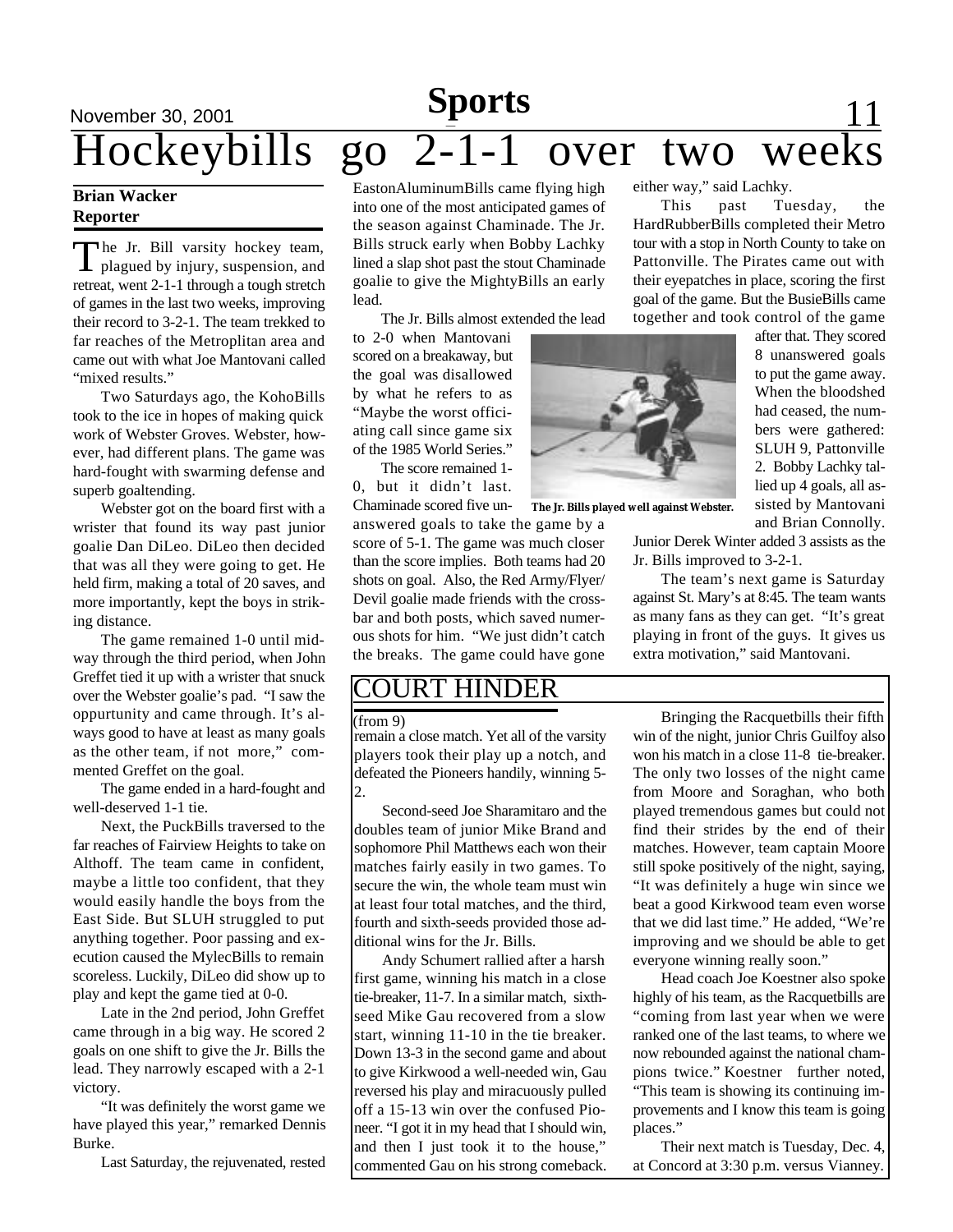## November 30, 2001 **Sports** 11 Hockeybills go 2-1-1 over two weeks **Sports**

#### **Brian Wacker Reporter**

The Jr. Bill varsity hockey team,<br>plagued by injury, suspension, and he Jr. Bill varsity hockey team, retreat, went 2-1-1 through a tough stretch of games in the last two weeks, improving their record to 3-2-1. The team trekked to far reaches of the Metroplitan area and came out with what Joe Mantovani called "mixed results."

Two Saturdays ago, the KohoBills took to the ice in hopes of making quick work of Webster Groves. Webster, however, had different plans. The game was hard-fought with swarming defense and superb goaltending.

Webster got on the board first with a wrister that found its way past junior goalie Dan DiLeo. DiLeo then decided that was all they were going to get. He held firm, making a total of 20 saves, and more importantly, kept the boys in striking distance.

The game remained 1-0 until midway through the third period, when John Greffet tied it up with a wrister that snuck over the Webster goalie's pad. "I saw the oppurtunity and came through. It's always good to have at least as many goals as the other team, if not more," commented Greffet on the goal.

The game ended in a hard-fought and well-deserved 1-1 tie.

Next, the PuckBills traversed to the far reaches of Fairview Heights to take on Althoff. The team came in confident, maybe a little too confident, that they would easily handle the boys from the East Side. But SLUH struggled to put anything together. Poor passing and execution caused the MylecBills to remain scoreless. Luckily, DiLeo did show up to play and kept the game tied at 0-0.

Late in the 2nd period, John Greffet came through in a big way. He scored 2 goals on one shift to give the Jr. Bills the lead. They narrowly escaped with a 2-1 victory.

"It was definitely the worst game we have played this year," remarked Dennis Burke.

Last Saturday, the rejuvenated, rested

EastonAluminumBills came flying high into one of the most anticipated games of the season against Chaminade. The Jr. Bills struck early when Bobby Lachky lined a slap shot past the stout Chaminade goalie to give the MightyBills an early lead.

The Jr. Bills almost extended the lead

to 2-0 when Mantovani scored on a breakaway, but the goal was disallowed by what he refers to as "Maybe the worst officiating call since game six of the 1985 World Series."

The score remained 1-

0, but it didn't last. Chaminade scored five unanswered goals to take the game by a score of 5-1. The game was much closer than the score implies. Both teams had 20 shots on goal. Also, the Red Army/Flyer/ Devil goalie made friends with the crossbar and both posts, which saved numerous shots for him. "We just didn't catch the breaks. The game could have gone **The Jr. Bills played well against Webster.**

### COURT HINDER

(from 9)

remain a close match. Yet all of the varsity players took their play up a notch, and defeated the Pioneers handily, winning 5- 2.

Second-seed Joe Sharamitaro and the doubles team of junior Mike Brand and sophomore Phil Matthews each won their matches fairly easily in two games. To secure the win, the whole team must win at least four total matches, and the third, fourth and sixth-seeds provided those additional wins for the Jr. Bills.

Andy Schumert rallied after a harsh first game, winning his match in a close tie-breaker, 11-7. In a similar match, sixthseed Mike Gau recovered from a slow start, winning 11-10 in the tie breaker. Down 13-3 in the second game and about to give Kirkwood a well-needed win, Gau reversed his play and miracuously pulled off a 15-13 win over the confused Pioneer. "I got it in my head that I should win, and then I just took it to the house," commented Gau on his strong comeback.

either way," said Lachky.

This past Tuesday, the HardRubberBills completed their Metro tour with a stop in North County to take on Pattonville. The Pirates came out with their eyepatches in place, scoring the first goal of the game. But the BusieBills came together and took control of the game

after that. They scored 8 unanswered goals to put the game away. When the bloodshed had ceased, the numbers were gathered: SLUH 9, Pattonville 2. Bobby Lachky tallied up 4 goals, all assisted by Mantovani and Brian Connolly.

Junior Derek Winter added 3 assists as the Jr. Bills improved to 3-2-1.

The team's next game is Saturday against St. Mary's at 8:45. The team wants as many fans as they can get. "It's great playing in front of the guys. It gives us extra motivation," said Mantovani.

Bringing the Racquetbills their fifth win of the night, junior Chris Guilfoy also won his match in a close 11-8 tie-breaker. The only two losses of the night came from Moore and Soraghan, who both played tremendous games but could not find their strides by the end of their matches. However, team captain Moore still spoke positively of the night, saying, "It was definitely a huge win since we beat a good Kirkwood team even worse that we did last time." He added, "We're improving and we should be able to get everyone winning really soon."

Head coach Joe Koestner also spoke highly of his team, as the Racquetbills are "coming from last year when we were ranked one of the last teams, to where we now rebounded against the national champions twice." Koestner further noted, "This team is showing its continuing improvements and I know this team is going places."

Their next match is Tuesday, Dec. 4, at Concord at 3:30 p.m. versus Vianney.